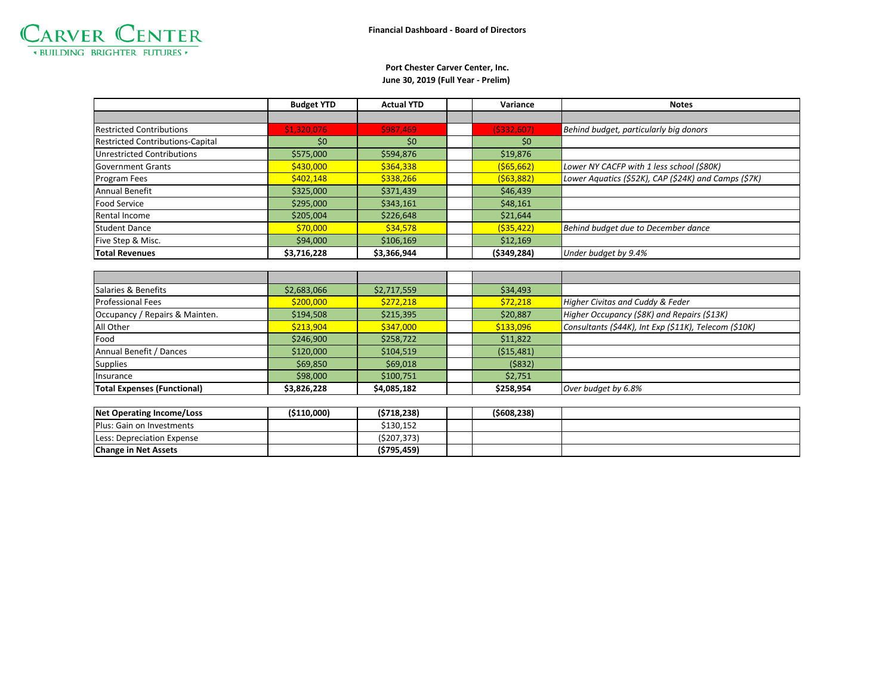

## **June 30, 2019 (Full Year - Prelim) Port Chester Carver Center, Inc.**

|                                         | <b>Budget YTD</b> | <b>Actual YTD</b> | Variance     | <b>Notes</b>                                         |
|-----------------------------------------|-------------------|-------------------|--------------|------------------------------------------------------|
|                                         |                   |                   |              |                                                      |
| <b>Restricted Contributions</b>         | \$1,320,076       | \$987,469         | (5332,607)   | Behind budget, particularly big donors               |
| <b>Restricted Contributions-Capital</b> | \$0               | $50^{\circ}$      | $50^{\circ}$ |                                                      |
| Unrestricted Contributions              | \$575,000         | \$594,876         | \$19,876     |                                                      |
| <b>Government Grants</b>                | \$430,000         | \$364,338         | ( \$65, 662) | Lower NY CACFP with 1 less school (\$80K)            |
| Program Fees                            | \$402,148         | \$338,266         | (563,882)    | Lower Aquatics (\$52K), CAP (\$24K) and Camps (\$7K) |
| <b>Annual Benefit</b>                   | \$325,000         | \$371,439         | \$46,439     |                                                      |
| <b>Food Service</b>                     | \$295,000         | \$343,161         | \$48,161     |                                                      |
| Rental Income                           | \$205,004         | \$226,648         | \$21,644     |                                                      |
| <b>Student Dance</b>                    | \$70,000          | \$34,578          | ( \$35,422)  | Behind budget due to December dance                  |
| Five Step & Misc.                       | \$94,000          | \$106,169         | \$12,169     |                                                      |
| <b>Total Revenues</b>                   | \$3,716,228       | \$3,366,944       | (5349, 284)  | Under budget by 9.4%                                 |

| Salaries & Benefits                | \$2,683,066 | \$2,717,559 | \$34,493   |                                                       |
|------------------------------------|-------------|-------------|------------|-------------------------------------------------------|
| <b>Professional Fees</b>           | \$200,000   | \$272,218   | \$72,218   | Higher Civitas and Cuddy & Feder                      |
| Occupancy / Repairs & Mainten.     | \$194,508   | \$215,395   | \$20,887   | Higher Occupancy (\$8K) and Repairs (\$13K)           |
| All Other                          | \$213,904   | \$347,000   | \$133,096  | Consultants (\$44K), Int Exp (\$11K), Telecom (\$10K) |
| Food                               | \$246.900   | \$258,722   | \$11,822   |                                                       |
| Annual Benefit / Dances            | \$120,000   | \$104,519   | (515, 481) |                                                       |
| <b>Supplies</b>                    | \$69,850    | \$69,018    | (5832)     |                                                       |
| <b>Insurance</b>                   | \$98,000    | \$100,751   | \$2,751    |                                                       |
| <b>Total Expenses (Functional)</b> | \$3,826,228 | \$4,085,182 | \$258,954  | Over budget by 6.8%                                   |

| Net Operating Income/Loss        | (5110.000) | (\$718,238) | (\$608,238) |  |
|----------------------------------|------------|-------------|-------------|--|
| <b>Plus: Gain on Investments</b> |            | \$130.152   |             |  |
| Less: Depreciation Expense       |            | (\$207,373) |             |  |
| <b>Change in Net Assets</b>      |            | (5795.459)  |             |  |